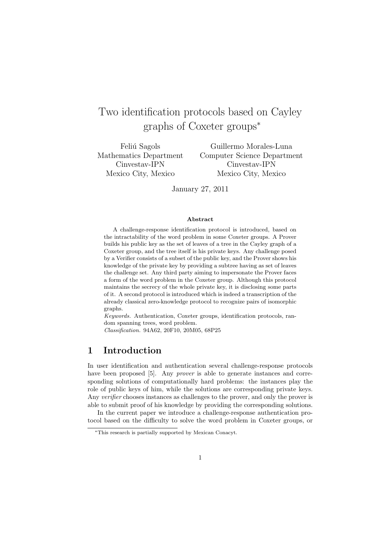# Two identification protocols based on Cayley graphs of Coxeter groups<sup>∗</sup>

Feliú Sagols Mathematics Department Cinvestav-IPN Mexico City, Mexico

Guillermo Morales-Luna Computer Science Department Cinvestav-IPN Mexico City, Mexico

January 27, 2011

### Abstract

A challenge-response identification protocol is introduced, based on the intractability of the word problem in some Coxeter groups. A Prover builds his public key as the set of leaves of a tree in the Cayley graph of a Coxeter group, and the tree itself is his private keys. Any challenge posed by a Verifier consists of a subset of the public key, and the Prover shows his knowledge of the private key by providing a subtree having as set of leaves the challenge set. Any third party aiming to impersonate the Prover faces a form of the word problem in the Coxeter group. Although this protocol maintains the secrecy of the whole private key, it is disclosing some parts of it. A second protocol is introduced which is indeed a transcription of the already classical zero-knowledge protocol to recognize pairs of isomorphic graphs.

Keywords. Authentication, Coxeter groups, identification protocols, random spanning trees, word problem.

Classification. 94A62, 20F10, 20M05, 68P25

### 1 Introduction

In user identification and authentication several challenge-response protocols have been proposed [5]. Any *prover* is able to generate instances and corresponding solutions of computationally hard problems: the instances play the role of public keys of him, while the solutions are corresponding private keys. Any *verifier* chooses instances as challenges to the prover, and only the prover is able to submit proof of his knowledge by providing the corresponding solutions.

In the current paper we introduce a challenge-response authentication protocol based on the difficulty to solve the word problem in Coxeter groups, or

<sup>∗</sup>This research is partially supported by Mexican Conacyt.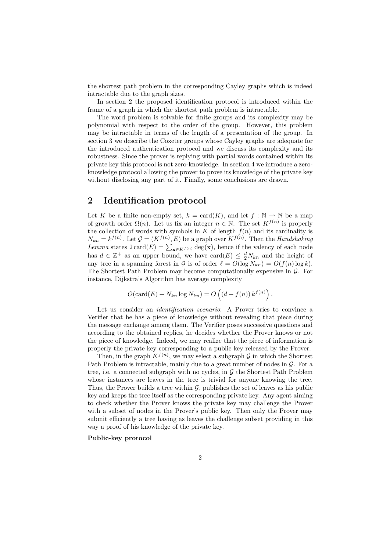the shortest path problem in the corresponding Cayley graphs which is indeed intractable due to the graph sizes.

In section 2 the proposed identification protocol is introduced within the frame of a graph in which the shortest path problem is intractable.

The word problem is solvable for finite groups and its complexity may be polynomial with respect to the order of the group. However, this problem may be intractable in terms of the length of a presentation of the group. In section 3 we describe the Coxeter groups whose Cayley graphs are adequate for the introduced authentication protocol and we discuss its complexity and its robustness. Since the prover is replying with partial words contained within its private key this protocol is not zero-knowledge. In section 4 we introduce a zeroknowledge protocol allowing the prover to prove its knowledge of the private key without disclosing any part of it. Finally, some conclusions are drawn.

## 2 Identification protocol

Let K be a finite non-empty set,  $k = \text{card}(K)$ , and let  $f : \mathbb{N} \to \mathbb{N}$  be a map of growth order  $\Omega(n)$ . Let us fix an integer  $n \in \mathbb{N}$ . The set  $K^{f(n)}$  is properly the collection of words with symbols in  $K$  of length  $f(n)$  and its cardinality is  $N_{kn} = k^{f(n)}$ . Let  $\mathcal{G} = (K^{f(n)}, E)$  be a graph over  $K^{f(n)}$ . Then the *Handshaking* Lemma states  $2 \text{ card}(E) = \sum_{\mathbf{x} \in K^{f(n)}} \text{deg}(\mathbf{x})$ , hence if the valency of each node has  $d \in \mathbb{Z}^+$  as an upper bound, we have  $card(E) \leq \frac{d}{2}N_{kn}$  and the height of any tree in a spanning forest in G is of order  $\ell = O(\log N_{kn}) = O(f(n) \log k)$ . The Shortest Path Problem may become computationally expensive in G. For instance, Dijkstra's Algorithm has average complexity

$$
O(\operatorname{card}(E) + N_{kn} \log N_{kn}) = O\left((d + f(n)) k^{f(n)}\right).
$$

Let us consider an *identification scenario*: A Prover tries to convince a Verifier that he has a piece of knowledge without revealing that piece during the message exchange among them. The Verifier poses successive questions and according to the obtained replies, he decides whether the Prover knows or not the piece of knowledge. Indeed, we may realize that the piece of information is properly the private key corresponding to a public key released by the Prover.

Then, in the graph  $K^{f(n)}$ , we may select a subgraph G in which the Shortest Path Problem is intractable, mainly due to a great number of nodes in  $\mathcal G$ . For a tree, i.e. a connected subgraph with no cycles, in  $\mathcal G$  the Shortest Path Problem whose instances are leaves in the tree is trivial for anyone knowing the tree. Thus, the Prover builds a tree within  $\mathcal{G}$ , publishes the set of leaves as his public key and keeps the tree itself as the corresponding private key. Any agent aiming to check whether the Prover knows the private key may challenge the Prover with a subset of nodes in the Prover's public key. Then only the Prover may submit efficiently a tree having as leaves the challenge subset providing in this way a proof of his knowledge of the private key.

### Public-key protocol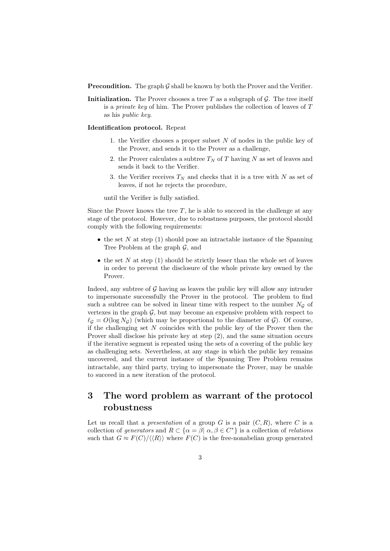**Precondition.** The graph G shall be known by both the Prover and the Verifier.

Initialization. The Prover chooses a tree T as a subgraph of  $\mathcal G$ . The tree itself is a *private key* of him. The Prover publishes the collection of leaves of  $T$ as his public key.

### Identification protocol. Repeat

- 1. the Verifier chooses a proper subset  $N$  of nodes in the public key of the Prover, and sends it to the Prover as a challenge,
- 2. the Prover calculates a subtree  $T_N$  of T having N as set of leaves and sends it back to the Verifier.
- 3. the Verifier receives  $T_N$  and checks that it is a tree with N as set of leaves, if not he rejects the procedure,

until the Verifier is fully satisfied.

Since the Prover knows the tree  $T$ , he is able to succeed in the challenge at any stage of the protocol. However, due to robustness purposes, the protocol should comply with the following requirements:

- the set N at step  $(1)$  should pose an intractable instance of the Spanning Tree Problem at the graph  $\mathcal{G}$ , and
- the set N at step  $(1)$  should be strictly lesser than the whole set of leaves in order to prevent the disclosure of the whole private key owned by the Prover.

Indeed, any subtree of  $G$  having as leaves the public key will allow any intruder to impersonate successfully the Prover in the protocol. The problem to find such a subtree can be solved in linear time with respect to the number  $N<sub>G</sub>$  of vertexes in the graph  $G$ , but may become an expensive problem with respect to  $\ell_{\mathcal{G}} = O(\log N_{\mathcal{G}})$  (which may be proportional to the diameter of  $\mathcal{G}$ ). Of course, if the challenging set  $N$  coincides with the public key of the Prover then the Prover shall disclose his private key at step (2), and the same situation occurs if the iterative segment is repeated using the sets of a covering of the public key as challenging sets. Nevertheless, at any stage in which the public key remains uncovered, and the current instance of the Spanning Tree Problem remains intractable, any third party, trying to impersonate the Prover, may be unable to succeed in a new iteration of the protocol.

## 3 The word problem as warrant of the protocol robustness

Let us recall that a *presentation* of a group  $G$  is a pair  $(C, R)$ , where  $C$  is a collection of generators and  $R \subset \{ \alpha = \beta \mid \alpha, \beta \in C^* \}$  is a collection of relations such that  $G \approx F(C)/\langle \langle R \rangle \rangle$  where  $F(C)$  is the free-nonabelian group generated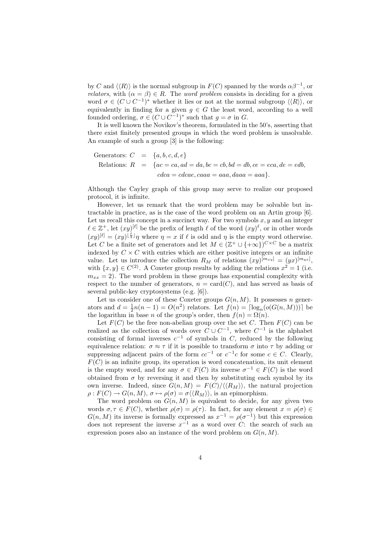by C and  $\langle R \rangle$  is the normal subgroup in  $F(C)$  spanned by the words  $\alpha \beta^{-1}$ , or *relators*, with  $(\alpha = \beta) \in R$ . The *word problem* consists in deciding for a given word  $\sigma \in (C \cup C^{-1})^*$  whether it lies or not at the normal subgroup  $\langle R \rangle$ , or equivalently in finding for a given  $g \in G$  the least word, according to a well founded ordering,  $\sigma \in (C \cup C^{-1})^*$  such that  $g = \sigma$  in G.

It is well known the Novikov's theorem, formulated in the 50's, asserting that there exist finitely presented groups in which the word problem is unsolvable. An example of such a group [3] is the following:

Generators: 
$$
C = \{a, b, c, d, e\}
$$
  
Relationships:  $R = \{ac = ca, ad = da, bc = cb, bd = db, ce = eca, de = edb, \ncdca = cdcae, caaa = aaa, daaa = aaa\}.$ 

Although the Cayley graph of this group may serve to realize our proposed protocol, it is infinite.

However, let us remark that the word problem may be solvable but intractable in practice, as is the case of the word problem on an Artin group [6]. Let us recall this concept in a succinct way. For two symbols  $x, y$  and an integer  $\ell \in \mathbb{Z}^+$ , let  $(xy)^{[\ell]}$  be the prefix of length  $\ell$  of the word  $(xy)^{\ell}$ , or in other words  $(xy)^{[\ell]} = (xy)^{\lfloor \frac{\ell}{2} \rfloor} \eta$  where  $\eta = x$  if  $\ell$  is odd and  $\eta$  is the empty word otherwise. Let C be a finite set of generators and let  $M \in (\mathbb{Z}^+ \cup \{+\infty\})^{C \times C}$  be a matrix indexed by  $C \times C$  with entries which are either positive integers or an infinite value. Let us introduce the collection  $R_M$  of relations  $(xy)^{[m_{xy}]} = (yx)^{[m_{yx}]}$ , with  $\{x, y\} \in C^{(2)}$ . A Coxeter group results by adding the relations  $x^2 = 1$  (i.e.  $m_{xx} = 2$ ). The word problem in these groups has exponential complexity with respect to the number of generators,  $n = \text{card}(C)$ , and has served as basis of several public-key cryptosystems (e.g. [6]).

Let us consider one of these Coxeter groups  $G(n, M)$ . It possesses n generators and  $d = \frac{1}{2}n(n-1) = O(n^2)$  relators. Let  $f(n) = \lceil \log_n(o(G(n, M))) \rceil$  be the logarithm in base *n* of the group's order, then  $f(n) = \Omega(n)$ .

Let  $F(C)$  be the free non-abelian group over the set C. Then  $F(C)$  can be realized as the collection of words over  $C \cup C^{-1}$ , where  $C^{-1}$  is the alphabet consisting of formal inverses  $c^{-1}$  of symbols in C, reduced by the following equivalence relation:  $\sigma \approx \tau$  if it is possible to transform  $\sigma$  into  $\tau$  by adding or suppressing adjacent pairs of the form  $cc^{-1}$  or  $c^{-1}c$  for some  $c \in C$ . Clearly,  $F(C)$  is an infinite group, its operation is word concatenation, its unit element is the empty word, and for any  $\sigma \in F(C)$  its inverse  $\sigma^{-1} \in F(C)$  is the word obtained from  $\sigma$  by reversing it and then by substituting each symbol by its own inverse. Indeed, since  $G(n, M) = F(C)/\langle R_M \rangle$ , the natural projection  $\rho: F(C) \to G(n, M), \sigma \mapsto \rho(\sigma) = \sigma \langle \langle R_M \rangle \rangle$ , is an epimorphism.

The word problem on  $G(n, M)$  is equivalent to decide, for any given two words  $\sigma, \tau \in F(C)$ , whether  $\rho(\sigma) = \rho(\tau)$ . In fact, for any element  $x = \rho(\sigma) \in$  $G(n, M)$  its inverse is formally expressed as  $x^{-1} = \rho(\sigma^{-1})$  but this expression does not represent the inverse  $x^{-1}$  as a word over C: the search of such an expression poses also an instance of the word problem on  $G(n, M)$ .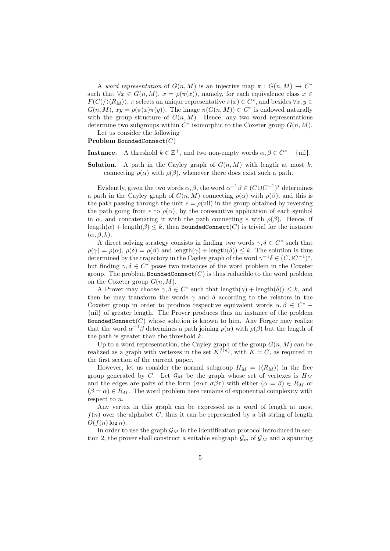A word representation of  $G(n, M)$  is an injective map  $\pi : G(n, M) \to C^*$ such that  $\forall x \in G(n,M)$ ,  $x = \rho(\pi(x))$ , namely, for each equivalence class  $x \in$  $F(C)/\langle R_M \rangle$ ,  $\pi$  selects an unique representative  $\pi(x) \in C^*$ , and besides  $\forall x, y \in C$  $G(n, M), xy = \rho(\pi(x)\pi(y)).$  The image  $\pi(G(n, M)) \subset C^*$  is endowed naturally with the group structure of  $G(n, M)$ . Hence, any two word representations determine two subgroups within  $C^*$  isomorphic to the Coxeter group  $G(n, M)$ .

Let us consider the following

Problem BoundedConnect(C)

**Instance.** A threshold  $k \in \mathbb{Z}^+$ , and two non-empty words  $\alpha, \beta \in C^* - \{\text{nil}\}.$ 

**Solution.** A path in the Cayley graph of  $G(n, M)$  with length at most k, connecting  $\rho(\alpha)$  with  $\rho(\beta)$ , whenever there does exist such a path.

Evidently, given the two words  $\alpha, \beta$ , the word  $\alpha^{-1}\beta \in (C \cup C^{-1})^*$  determines a path in the Cayley graph of  $G(n, M)$  connecting  $\rho(\alpha)$  with  $\rho(\beta)$ , and this is the path passing through the unit  $e = \rho(\text{nil})$  in the group obtained by reversing the path going from e to  $\rho(\alpha)$ , by the consecutive application of each symbol in  $\alpha$ , and concatenating it with the path connecting e with  $\rho(\beta)$ . Hence, if  $\text{length}(\alpha) + \text{length}(\beta) \leq k$ , then BoundedConnect(C) is trivial for the instance  $(\alpha, \beta, k).$ 

A direct solving strategy consists in finding two words  $\gamma, \delta \in C^*$  such that  $\rho(\gamma) = \rho(\alpha)$ ,  $\rho(\delta) = \rho(\beta)$  and length $(\gamma) + \text{length}(\delta)$ )  $\leq k$ . The solution is thus determined by the trajectory in the Cayley graph of the word  $\gamma^{-1}\delta \in (C \cup C^{-1})^*$ , but finding  $\gamma, \delta \in C^*$  poses two instances of the word problem in the Coxeter group. The problem BoundedConnect $(C)$  is thus reducible to the word problem on the Coxeter group  $G(n, M)$ .

A Prover may choose  $\gamma, \delta \in C^*$  such that  $\text{length}(\gamma) + \text{length}(\delta) \leq k$ , and then he may transform the words  $\gamma$  and  $\delta$  according to the relators in the Coxeter group in order to produce respective equivalent words  $\alpha, \beta \in C^*$ {nil} of greater length. The Prover produces thus an instance of the problem BoundedConnect $(C)$  whose solution is known to him. Any Forger may realize that the word  $\alpha^{-1}\beta$  determines a path joining  $\rho(\alpha)$  with  $\rho(\beta)$  but the length of the path is greater than the threshold  $k$ .

Up to a word representation, the Cayley graph of the group  $G(n, M)$  can be realized as a graph with vertexes in the set  $K^{f(n)}$ , with  $K = C$ , as required in the first section of the current paper.

However, let us consider the normal subgroup  $H_M = \langle \langle R_M \rangle \rangle$  in the free group generated by C. Let  $\mathcal{G}_M$  be the graph whose set of vertexes is  $H_M$ and the edges are pairs of the form  $(\sigma \alpha \tau, \sigma \beta \tau)$  with either  $(\alpha = \beta) \in R_M$  or  $(\beta = \alpha) \in R_M$ . The word problem here remains of exponential complexity with respect to n.

Any vertex in this graph can be expressed as a word of length at most  $f(n)$  over the alphabet C, thus it can be represented by a bit string of length  $O(f(n) \log n)$ .

In order to use the graph  $\mathcal{G}_M$  in the identification protocol introduced in section 2, the prover shall construct a suitable subgraph  $\mathcal{G}_m$  of  $\mathcal{G}_M$  and a spanning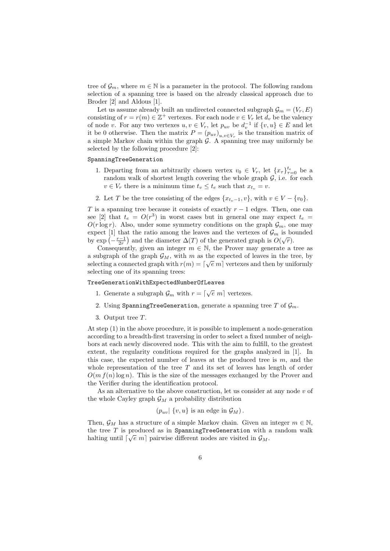tree of  $\mathcal{G}_m$ , where  $m \in \mathbb{N}$  is a parameter in the protocol. The following random selection of a spanning tree is based on the already classical approach due to Broder [2] and Aldous [1].

Let us assume already built an undirected connected subgraph  $\mathcal{G}_m = (V_r, E)$ consisting of  $r = r(m) \in \mathbb{Z}^+$  vertexes. For each node  $v \in V_r$  let  $d_v$  be the valency of node v. For any two vertexes  $u, v \in V_r$ , let  $p_{uv}$  be  $d_v^{-1}$  if  $\{v, u\} \in E$  and let it be 0 otherwise. Then the matrix  $P = (p_{uv})_{u,v \in V_r}$  is the transition matrix of a simple Markov chain within the graph  $\mathcal{G}$ . A spanning tree may uniformly be selected by the following procedure [2]:

### SpanningTreeGeneration

- 1. Departing from an arbitrarily chosen vertex  $v_0 \in V_r$ , let  $\{x_\tau\}_{\tau=0}^{t_e}$  be a random walk of shortest length covering the whole graph  $G$ , i.e. for each  $v \in V_r$  there is a minimum time  $t_v \leq t_e$  such that  $x_{t_v} = v$ .
- 2. Let T be the tree consisting of the edges  $\{x_{t_n-1}, v\}$ , with  $v \in V \{v_0\}$ .

T is a spanning tree because it consists of exactly  $r - 1$  edges. Then, one can see [2] that  $t_e = O(r^3)$  in worst cases but in general one may expect  $t_e$  =  $O(r \log r)$ . Also, under some symmetry conditions on the graph  $\mathcal{G}_m$ , one may expect [1] that the ratio among the leaves and the vertexes of  $\mathcal{G}_m$  is bounded by  $\exp\left(-\frac{r-1}{2r}\right)$  and the diameter  $\Delta(T)$  of the generated graph is  $O(\sqrt{r})$ .

Consequently, given an integer  $m \in \mathbb{N}$ , the Prover may generate a tree as a subgraph of the graph  $\mathcal{G}_M$ , with m as the expected of leaves in the tree, by selecting a connected graph with  $r(m) = \lfloor \sqrt{e} \ m \rfloor$  vertexes and then by uniformly selecting one of its spanning trees:

### TreeGenerationWithExpectedNumberOfLeaves

- 1. Generate a subgraph  $\mathcal{G}_m$  with  $r = \lfloor \sqrt{e} \ m \rfloor$  vertexes.
- 2. Using SpanningTreeGeneration, generate a spanning tree T of  $\mathcal{G}_m$ .
- 3. Output tree T.

At step (1) in the above procedure, it is possible to implement a node-generation according to a breadth-first traversing in order to select a fixed number of neighbors at each newly discovered node. This with the aim to fulfill, to the greatest extent, the regularity conditions required for the graphs analyzed in [1]. In this case, the expected number of leaves at the produced tree is  $m$ , and the whole representation of the tree  $T$  and its set of leaves has length of order  $O(m f(n) \log n)$ . This is the size of the messages exchanged by the Prover and the Verifier during the identification protocol.

As an alternative to the above construction, let us consider at any node  $v$  of the whole Cayley graph  $\mathcal{G}_M$  a probability distribution

$$
(p_{uv} | \{v, u\})
$$
 is an edge in  $\mathcal{G}_M$ ).

Then,  $\mathcal{G}_M$  has a structure of a simple Markov chain. Given an integer  $m \in \mathbb{N}$ , the tree T is produced as in SpanningTreeGeneration with a random walk halting until  $\lceil \sqrt{e} \; m \rceil$  pairwise different nodes are visited in  $\mathcal{G}_M$ .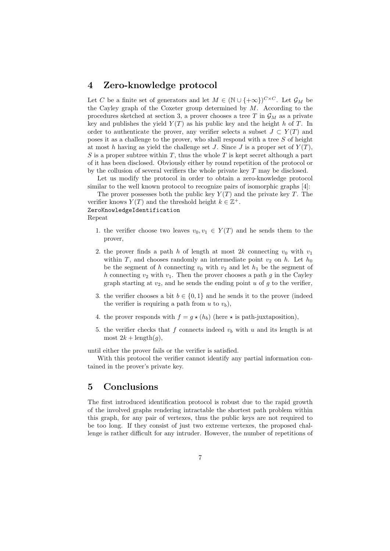## 4 Zero-knowledge protocol

Let C be a finite set of generators and let  $M \in (\mathbb{N} \cup \{+\infty\})^{C \times C}$ . Let  $\mathcal{G}_M$  be the Cayley graph of the Coxeter group determined by  $M$ . According to the procedures sketched at section 3, a prover chooses a tree T in  $\mathcal{G}_M$  as a private key and publishes the yield  $Y(T)$  as his public key and the height h of T. In order to authenticate the prover, any verifier selects a subset  $J \subset Y(T)$  and poses it as a challenge to the prover, who shall respond with a tree S of height at most h having as yield the challenge set J. Since J is a proper set of  $Y(T)$ , S is a proper subtree within  $T$ , thus the whole  $T$  is kept secret although a part of it has been disclosed. Obviously either by round repetition of the protocol or by the collusion of several verifiers the whole private key T may be disclosed.

Let us modify the protocol in order to obtain a zero-knowledge protocol similar to the well known protocol to recognize pairs of isomorphic graphs [4]:

The prover possesses both the public key  $Y(T)$  and the private key T. The verifier knows  $Y(T)$  and the threshold height  $k \in \mathbb{Z}^+$ .

ZeroKnowledgeIdentification Repeat

- 1. the verifier choose two leaves  $v_0, v_1 \in Y(T)$  and he sends them to the prover,
- 2. the prover finds a path h of length at most 2k connecting  $v_0$  with  $v_1$ within T, and chooses randomly an intermediate point  $v_2$  on h. Let  $h_0$ be the segment of h connecting  $v_0$  with  $v_2$  and let  $h_1$  be the segment of h connecting  $v_2$  with  $v_1$ . Then the prover chooses a path g in the Cayley graph starting at  $v_2$ , and he sends the ending point u of g to the verifier.
- 3. the verifier chooses a bit  $b \in \{0,1\}$  and he sends it to the prover (indeed the verifier is requiring a path from  $u$  to  $v_b$ ),
- 4. the prover responds with  $f = g \star (h_b)$  (here  $\star$  is path-juxtaposition),
- 5. the verifier checks that f connects indeed  $v<sub>b</sub>$  with u and its length is at most  $2k$  + length $(g)$ ,

until either the prover fails or the verifier is satisfied.

With this protocol the verifier cannot identify any partial information contained in the prover's private key.

## 5 Conclusions

The first introduced identification protocol is robust due to the rapid growth of the involved graphs rendering intractable the shortest path problem within this graph, for any pair of vertexes, thus the public keys are not required to be too long. If they consist of just two extreme vertexes, the proposed challenge is rather difficult for any intruder. However, the number of repetitions of